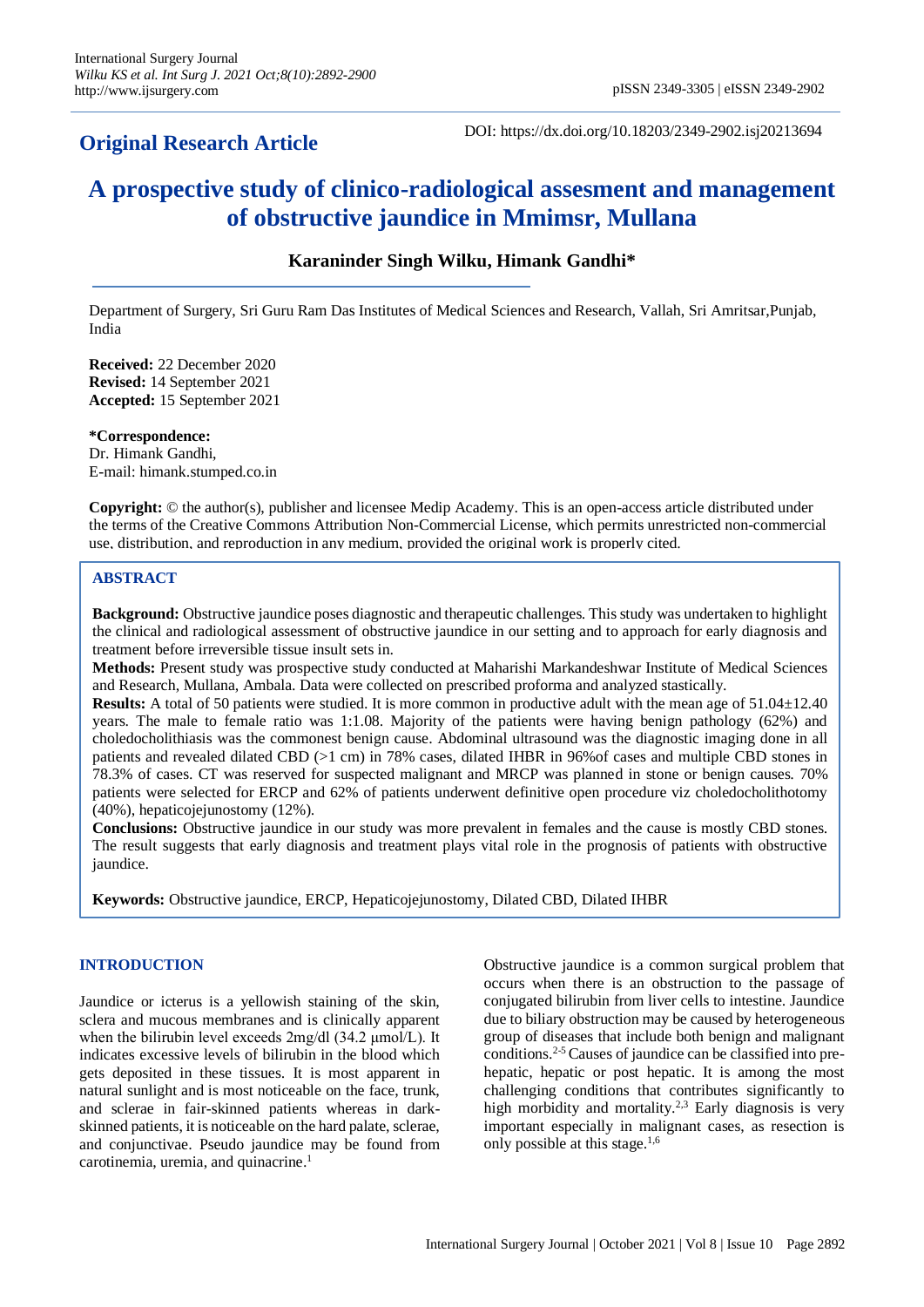## **Original Research Article**

DOI: https://dx.doi.org/10.18203/2349-2902.isj20213694

# **A prospective study of clinico-radiological assesment and management of obstructive jaundice in Mmimsr, Mullana**

## **Karaninder Singh Wilku, Himank Gandhi\***

Department of Surgery, Sri Guru Ram Das Institutes of Medical Sciences and Research, Vallah, Sri Amritsar,Punjab, India

**Received:** 22 December 2020 **Revised:** 14 September 2021 **Accepted:** 15 September 2021

**\*Correspondence:** Dr. Himank Gandhi, E-mail: himank.stumped.co.in

**Copyright:** © the author(s), publisher and licensee Medip Academy. This is an open-access article distributed under the terms of the Creative Commons Attribution Non-Commercial License, which permits unrestricted non-commercial use, distribution, and reproduction in any medium, provided the original work is properly cited.

### **ABSTRACT**

**Background:** Obstructive jaundice poses diagnostic and therapeutic challenges. This study was undertaken to highlight the clinical and radiological assessment of obstructive jaundice in our setting and to approach for early diagnosis and treatment before irreversible tissue insult sets in.

**Methods:** Present study was prospective study conducted at Maharishi Markandeshwar Institute of Medical Sciences and Research, Mullana, Ambala. Data were collected on prescribed proforma and analyzed stastically.

**Results:** A total of 50 patients were studied. It is more common in productive adult with the mean age of 51.04±12.40 years. The male to female ratio was 1:1.08. Majority of the patients were having benign pathology (62%) and choledocholithiasis was the commonest benign cause. Abdominal ultrasound was the diagnostic imaging done in all patients and revealed dilated CBD (>1 cm) in 78% cases, dilated IHBR in 96%of cases and multiple CBD stones in 78.3% of cases. CT was reserved for suspected malignant and MRCP was planned in stone or benign causes. 70% patients were selected for ERCP and 62% of patients underwent definitive open procedure viz choledocholithotomy (40%), hepaticojejunostomy (12%).

**Conclusions:** Obstructive jaundice in our study was more prevalent in females and the cause is mostly CBD stones. The result suggests that early diagnosis and treatment plays vital role in the prognosis of patients with obstructive jaundice.

**Keywords:** Obstructive jaundice, ERCP, Hepaticojejunostomy, Dilated CBD, Dilated IHBR

#### **INTRODUCTION**

Jaundice or icterus is a yellowish staining of the skin, sclera and mucous membranes and is clinically apparent when the bilirubin level exceeds 2mg/dl (34.2 μmol/L). It indicates excessive levels of bilirubin in the blood which gets deposited in these tissues. It is most apparent in natural sunlight and is most noticeable on the face, trunk, and sclerae in fair-skinned patients whereas in darkskinned patients, it is noticeable on the hard palate, sclerae, and conjunctivae. Pseudo jaundice may be found from carotinemia, uremia, and quinacrine. 1

Obstructive jaundice is a common surgical problem that occurs when there is an obstruction to the passage of conjugated bilirubin from liver cells to intestine. Jaundice due to biliary obstruction may be caused by heterogeneous group of diseases that include both benign and malignant conditions.2-5 Causes of jaundice can be classified into prehepatic, hepatic or post hepatic. It is among the most challenging conditions that contributes significantly to high morbidity and mortality.<sup>2,3</sup> Early diagnosis is very important especially in malignant cases, as resection is only possible at this stage. $1,6$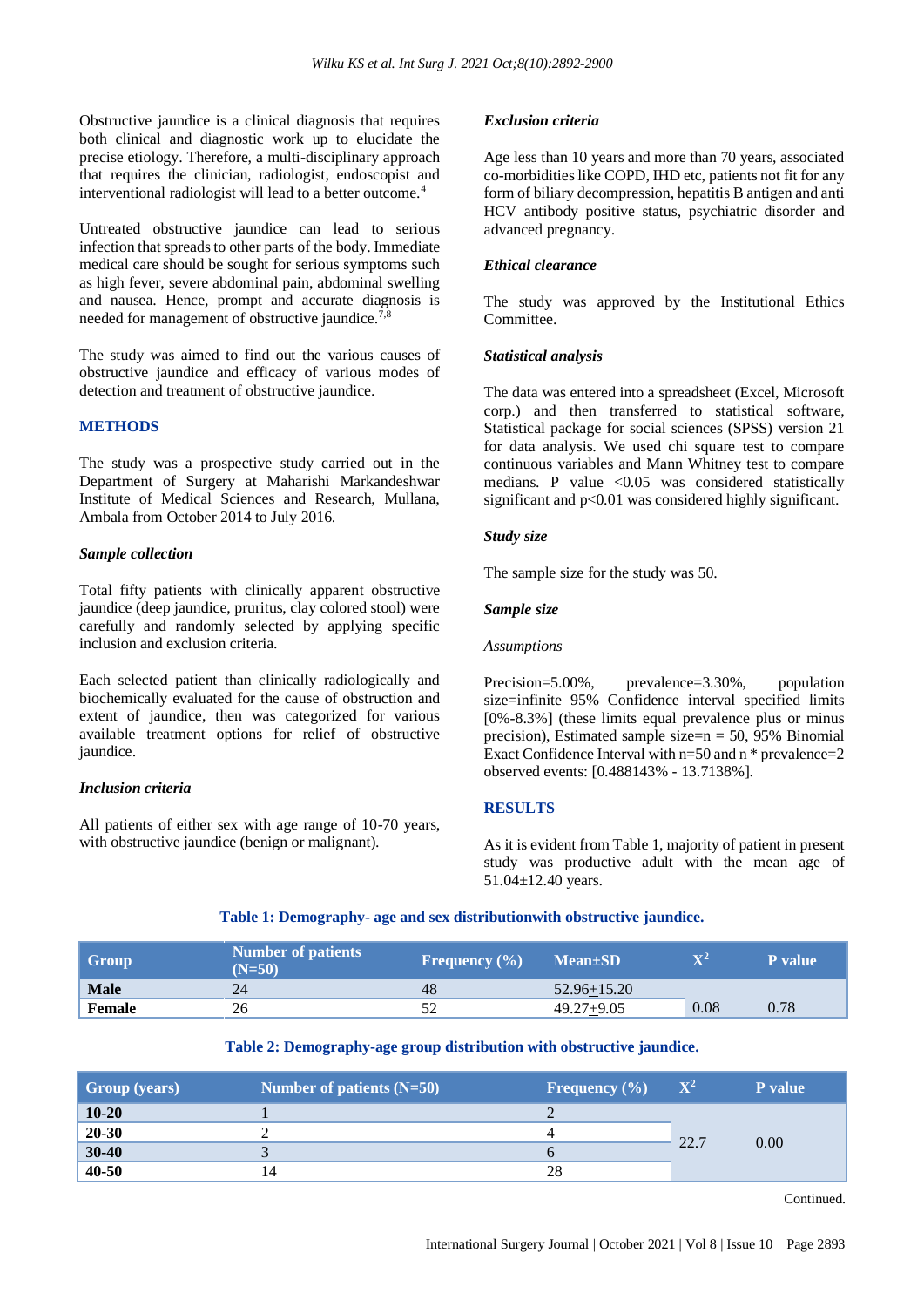Obstructive jaundice is a clinical diagnosis that requires both clinical and diagnostic work up to elucidate the precise etiology. Therefore, a multi-disciplinary approach that requires the clinician, radiologist, endoscopist and interventional radiologist will lead to a better outcome.<sup>4</sup>

Untreated obstructive jaundice can lead to serious infection that spreads to other parts of the body. Immediate medical care should be sought for serious symptoms such as high fever, severe abdominal pain, abdominal swelling and nausea. Hence, prompt and accurate diagnosis is needed for management of obstructive jaundice.<sup>7,8</sup>

The study was aimed to find out the various causes of obstructive jaundice and efficacy of various modes of detection and treatment of obstructive jaundice.

#### **METHODS**

The study was a prospective study carried out in the Department of Surgery at Maharishi Markandeshwar Institute of Medical Sciences and Research, Mullana, Ambala from October 2014 to July 2016.

#### *Sample collection*

Total fifty patients with clinically apparent obstructive jaundice (deep jaundice, pruritus, clay colored stool) were carefully and randomly selected by applying specific inclusion and exclusion criteria.

Each selected patient than clinically radiologically and biochemically evaluated for the cause of obstruction and extent of jaundice, then was categorized for various available treatment options for relief of obstructive jaundice.

#### *Inclusion criteria*

All patients of either sex with age range of 10-70 years, with obstructive jaundice (benign or malignant).

#### *Exclusion criteria*

Age less than 10 years and more than 70 years, associated co-morbidities like COPD, IHD etc, patients not fit for any form of biliary decompression, hepatitis B antigen and anti HCV antibody positive status, psychiatric disorder and advanced pregnancy.

#### *Ethical clearance*

The study was approved by the Institutional Ethics Committee.

#### *Statistical analysis*

The data was entered into a spreadsheet (Excel, Microsoft corp.) and then transferred to statistical software, Statistical package for social sciences (SPSS) version 21 for data analysis. We used chi square test to compare continuous variables and Mann Whitney test to compare medians. P value  $\langle 0.05 \rangle$  was considered statistically significant and p<0.01 was considered highly significant.

#### *Study size*

The sample size for the study was 50.

#### *Sample size*

#### *Assumptions*

Precision=5.00%, prevalence=3.30%, population size=infinite 95% Confidence interval specified limits [0%-8.3%] (these limits equal prevalence plus or minus precision), Estimated sample size= $n = 50$ , 95% Binomial Exact Confidence Interval with n=50 and n \* prevalence=2 observed events: [0.488143% - 13.7138%].

#### **RESULTS**

As it is evident from Table 1, majority of patient in present study was productive adult with the mean age of 51.04±12.40 years.

#### **Table 1: Demography- age and sex distributionwith obstructive jaundice.**

| Group       | <b>Number of patients</b><br>$(N=50)$ | Frequency $(\% )$ | <b>Mean</b> ±SD | $\mathbf{v}$ | P value |
|-------------|---------------------------------------|-------------------|-----------------|--------------|---------|
| <b>Male</b> | 24                                    | 48                | $52.96 + 15.20$ |              |         |
| Female      | 26                                    |                   | $49.27 + 9.05$  | 0.08         | 0.78    |

#### **Table 2: Demography-age group distribution with obstructive jaundice.**

| <b>Group</b> (years) | Number of patients $(N=50)$ | <b>Frequency</b> $(\% )$ | $\mathbf{X}^{\mathbf{2}}$ | <b>P</b> value |
|----------------------|-----------------------------|--------------------------|---------------------------|----------------|
| $10 - 20$            |                             |                          |                           |                |
| $20 - 30$            |                             |                          | 22.7                      |                |
| $30 - 40$            |                             |                          |                           | 0.00           |
| 40-50                | 14                          | 28                       |                           |                |

Continued.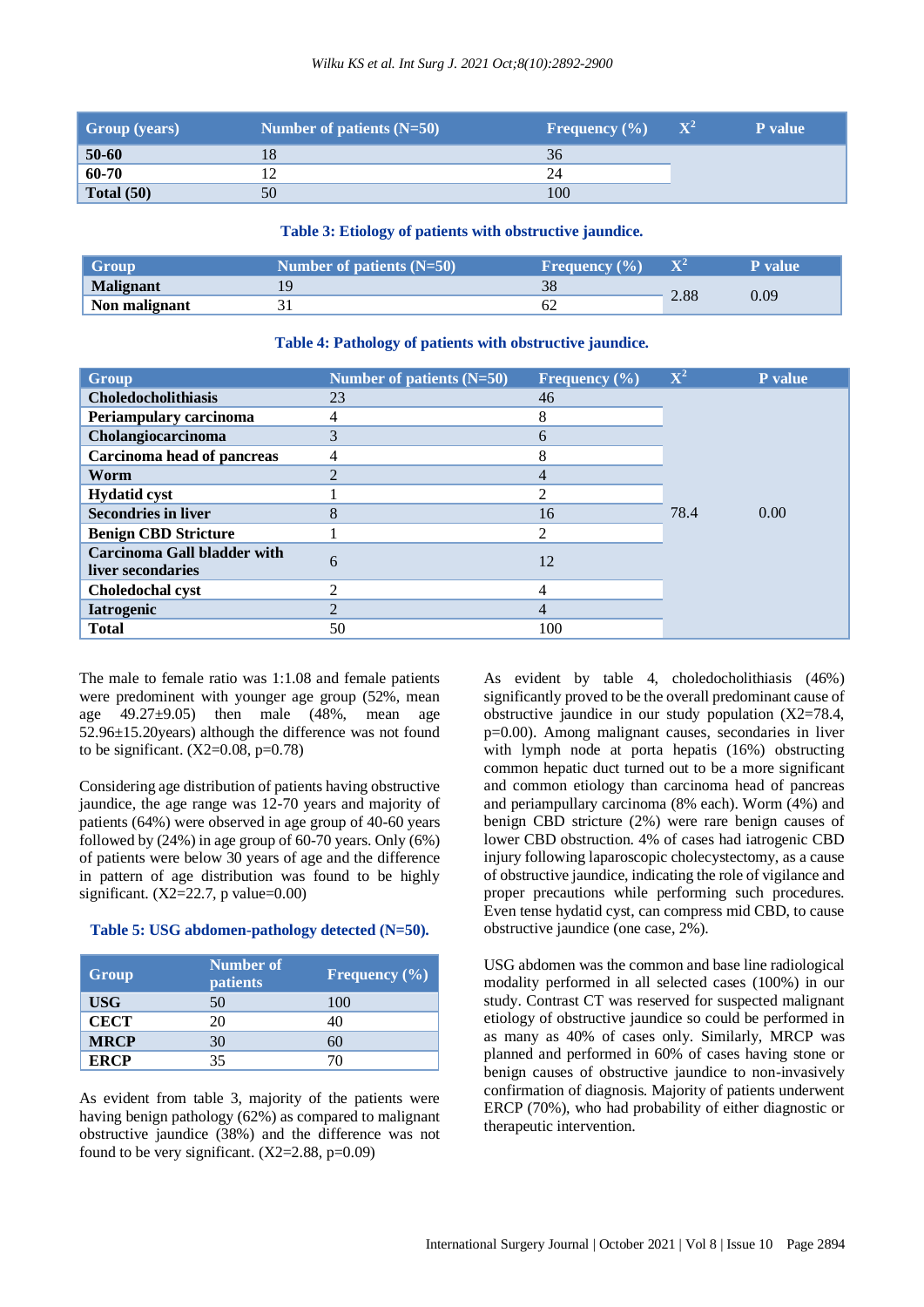| <b>Group</b> (years) | Number of patients $(N=50)$ | <b>Frequency</b> $(\% )$ | $\mathbf{X}^2$ | <b>P</b> value |
|----------------------|-----------------------------|--------------------------|----------------|----------------|
| $50 - 60$            |                             | 36                       |                |                |
| 60-70                |                             | 24                       |                |                |
| Total $(50)$         | 50                          | 100                      |                |                |

#### **Table 3: Etiology of patients with obstructive jaundice.**

| Group         | Number of patients $(N=50)$ | <b>Frequency</b> $(\%)$ | $\overline{\mathbf{v}}$ | <b>P</b> value |
|---------------|-----------------------------|-------------------------|-------------------------|----------------|
| Malignant     |                             |                         |                         |                |
| Non malignant |                             |                         | 2.88                    | 0.09           |

#### **Table 4: Pathology of patients with obstructive jaundice.**

| Group                              | Number of patients $(N=50)$ | Frequency $(\% )$ | ${\bf X}^2$ | P value |
|------------------------------------|-----------------------------|-------------------|-------------|---------|
| <b>Choledocholithiasis</b>         | 23                          | 46                |             |         |
| Periampulary carcinoma             | 4                           | 8                 |             |         |
| Cholangiocarcinoma                 | 3                           | 6                 |             |         |
| Carcinoma head of pancreas         | 4                           | 8                 |             |         |
| Worm                               | $\overline{2}$              | 4                 |             |         |
| <b>Hydatid cyst</b>                |                             | 2                 |             |         |
| <b>Secondries in liver</b>         | 8                           | 16                | 78.4        | 0.00    |
| <b>Benign CBD Stricture</b>        |                             | 2                 |             |         |
| <b>Carcinoma Gall bladder with</b> | 6                           | 12                |             |         |
| liver secondaries                  |                             |                   |             |         |
| <b>Choledochal cyst</b>            | $\mathfrak{D}$              | 4                 |             |         |
| <b>Iatrogenic</b>                  | $\overline{2}$              | $\overline{4}$    |             |         |
| <b>Total</b>                       | 50                          | 100               |             |         |

The male to female ratio was 1:1.08 and female patients were predominent with younger age group (52%, mean age  $49.27 \pm 9.05$ ) then male  $(48\%$ , mean age 52.96±15.20years) although the difference was not found to be significant.  $(X2=0.08, p=0.78)$ 

Considering age distribution of patients having obstructive jaundice, the age range was 12-70 years and majority of patients (64%) were observed in age group of 40-60 years followed by (24%) in age group of 60-70 years. Only (6%) of patients were below 30 years of age and the difference in pattern of age distribution was found to be highly significant. (X2=22.7, p value= $0.00$ )

#### **Table 5: USG abdomen-pathology detected (N=50).**

| Group       | <b>Number of</b><br><b>patients</b> | Frequency $(\% )$ |
|-------------|-------------------------------------|-------------------|
| <b>USG</b>  | 50                                  | 100               |
| <b>CECT</b> | 20                                  | 40                |
| <b>MRCP</b> | 30                                  |                   |
| <b>ERCP</b> | 35                                  |                   |

As evident from table 3, majority of the patients were having benign pathology (62%) as compared to malignant obstructive jaundice (38%) and the difference was not found to be very significant.  $(X2=2.88, p=0.09)$ 

As evident by table 4, choledocholithiasis (46%) significantly proved to be the overall predominant cause of obstructive jaundice in our study population (X2=78.4, p=0.00). Among malignant causes, secondaries in liver with lymph node at porta hepatis (16%) obstructing common hepatic duct turned out to be a more significant and common etiology than carcinoma head of pancreas and periampullary carcinoma (8% each). Worm (4%) and benign CBD stricture (2%) were rare benign causes of lower CBD obstruction. 4% of cases had iatrogenic CBD injury following laparoscopic cholecystectomy, as a cause of obstructive jaundice, indicating the role of vigilance and proper precautions while performing such procedures. Even tense hydatid cyst, can compress mid CBD, to cause obstructive jaundice (one case, 2%).

USG abdomen was the common and base line radiological modality performed in all selected cases (100%) in our study. Contrast CT was reserved for suspected malignant etiology of obstructive jaundice so could be performed in as many as 40% of cases only. Similarly, MRCP was planned and performed in 60% of cases having stone or benign causes of obstructive jaundice to non-invasively confirmation of diagnosis. Majority of patients underwent ERCP (70%), who had probability of either diagnostic or therapeutic intervention.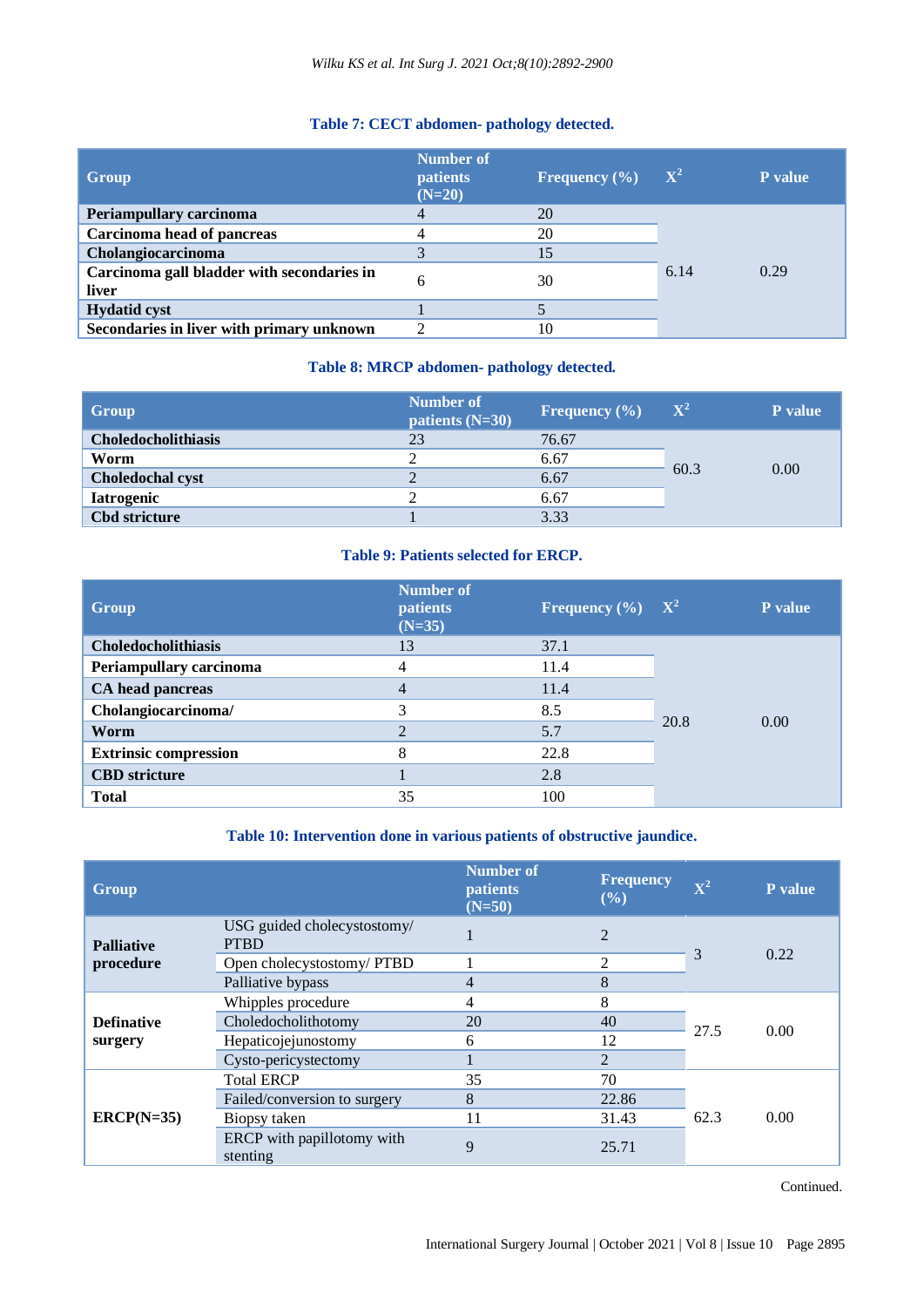## **Table 7: CECT abdomen- pathology detected.**

| Group                                               | Number of<br><b>patients</b><br>$(N=20)$ | Frequency $(\% )$ | $\mathbf{X}^2$ | <b>P</b> value |
|-----------------------------------------------------|------------------------------------------|-------------------|----------------|----------------|
| Periampullary carcinoma                             |                                          | 20                |                |                |
| Carcinoma head of pancreas                          |                                          | 20                |                |                |
| Cholangiocarcinoma                                  |                                          | 15                |                |                |
| Carcinoma gall bladder with secondaries in<br>liver |                                          | 30                | 6.14           | 0.29           |
| <b>Hydatid cyst</b>                                 |                                          |                   |                |                |
| Secondaries in liver with primary unknown           |                                          | 10                |                |                |

## **Table 8: MRCP abdomen- pathology detected.**

| Group                      | <b>Number of</b><br>patients $(N=30)$ | Frequency $(\% )$ | $\mathbf{X}^2$ | P value |
|----------------------------|---------------------------------------|-------------------|----------------|---------|
| <b>Choledocholithiasis</b> | 23                                    | 76.67             |                |         |
| Worm                       | ∍                                     | 6.67              |                |         |
| <b>Choledochal cyst</b>    | 2                                     | 6.67              | 60.3           | 0.00    |
| <b>Iatrogenic</b>          | ി                                     | 6.67              |                |         |
| <b>Cbd stricture</b>       |                                       | 3.33              |                |         |

## **Table 9: Patients selected for ERCP.**

| Group                        | <b>Number of</b><br><b>patients</b><br>$(N=35)$ | <b>Frequency</b> $(\% )$ | $\mathbf{X}^2$ | P value |
|------------------------------|-------------------------------------------------|--------------------------|----------------|---------|
| Choledocholithiasis          | 13                                              | 37.1                     |                |         |
| Periampullary carcinoma      | 4                                               | 11.4                     |                |         |
| CA head pancreas             | 4                                               | 11.4                     |                |         |
| Cholangiocarcinoma/          | 3                                               | 8.5                      |                | 0.00    |
| Worm                         | 2                                               | 5.7                      | 20.8           |         |
| <b>Extrinsic compression</b> | 8                                               | 22.8                     |                |         |
| <b>CBD</b> stricture         |                                                 | 2.8                      |                |         |
| <b>Total</b>                 | 35                                              | 100                      |                |         |

## **Table 10: Intervention done in various patients of obstructive jaundice.**

| Group                          |                                            | Number of<br><i>patients</i><br>$(N=50)$ | Frequency<br>$(\%)$ | $\mathbf{X}^2$ | <b>P</b> value |
|--------------------------------|--------------------------------------------|------------------------------------------|---------------------|----------------|----------------|
| <b>Palliative</b><br>procedure | USG guided cholecystostomy/<br><b>PTBD</b> |                                          | $\mathcal{L}$       |                | 0.22           |
|                                | Open cholecystostomy/ PTBD                 |                                          | 2                   | 3              |                |
|                                | Palliative bypass                          | 4                                        | 8                   |                |                |
|                                | Whipples procedure                         | 4                                        | 8                   |                | 0.00           |
| <b>Definative</b>              | Choledocholithotomy                        | 20                                       | 40                  | 27.5           |                |
| surgery                        | Hepaticojejunostomy                        | 6                                        | 12                  |                |                |
|                                | Cysto-pericystectomy                       |                                          | $\overline{2}$      |                |                |
|                                | <b>Total ERCP</b>                          | 35                                       | 70                  |                |                |
| $ERCP(N=35)$                   | Failed/conversion to surgery               | 8                                        | 22.86               |                |                |
|                                | Biopsy taken                               | 11                                       | 31.43               | 62.3           | 0.00           |
|                                | ERCP with papillotomy with<br>stenting     | 9                                        | 25.71               |                |                |

Continued.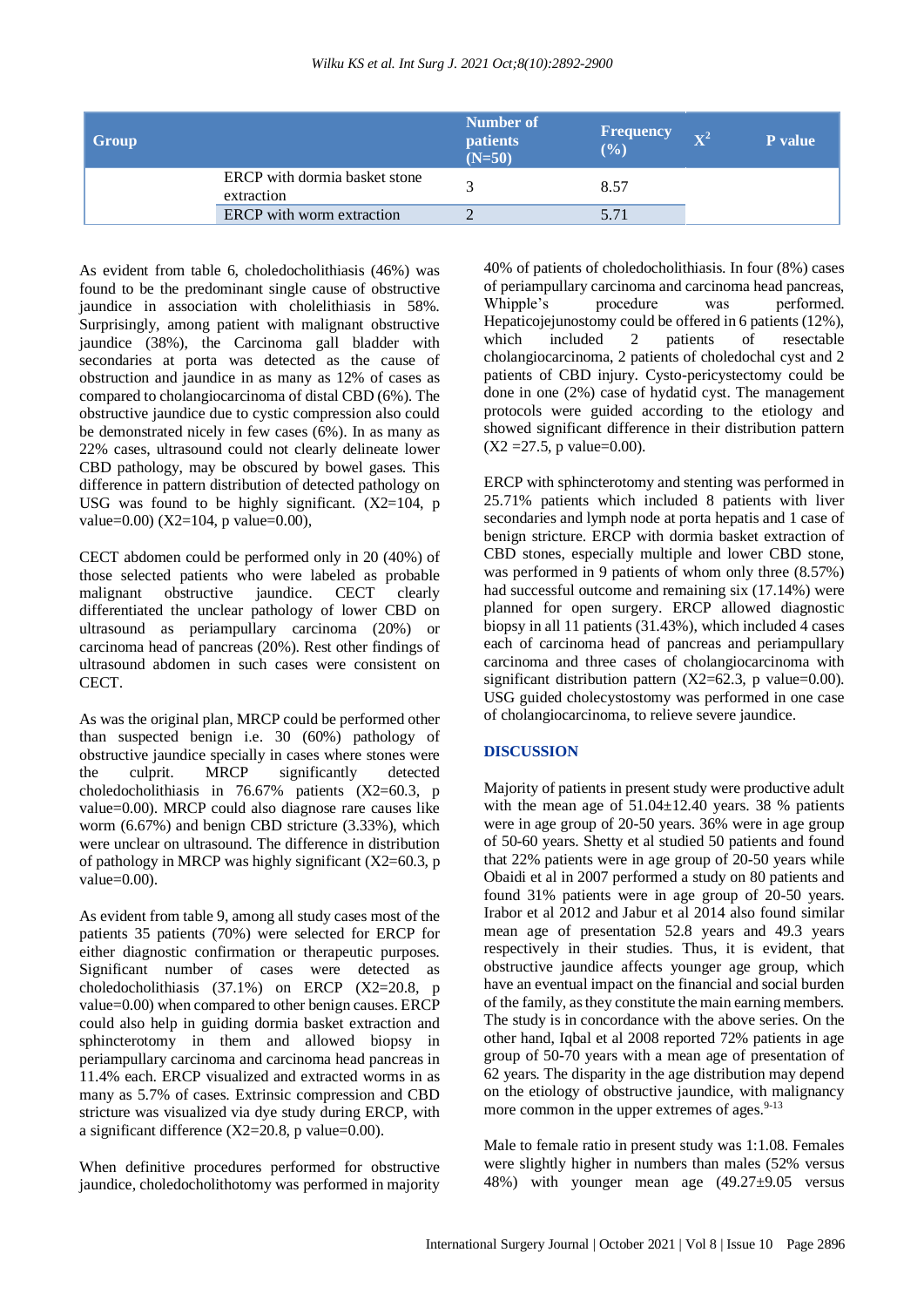| Group |                                             | Number of<br><b>patients</b><br>$(N=50)$ | <b>Frequency</b><br>(%) | $\mathbf{V}^2$ | P value |
|-------|---------------------------------------------|------------------------------------------|-------------------------|----------------|---------|
|       | ERCP with dormia basket stone<br>extraction | $\sim$                                   | 8.57                    |                |         |
|       | <b>ERCP</b> with worm extraction            |                                          | 5.71                    |                |         |

As evident from table 6, choledocholithiasis (46%) was found to be the predominant single cause of obstructive jaundice in association with cholelithiasis in 58%. Surprisingly, among patient with malignant obstructive jaundice (38%), the Carcinoma gall bladder with secondaries at porta was detected as the cause of obstruction and jaundice in as many as 12% of cases as compared to cholangiocarcinoma of distal CBD (6%). The obstructive jaundice due to cystic compression also could be demonstrated nicely in few cases (6%). In as many as 22% cases, ultrasound could not clearly delineate lower CBD pathology, may be obscured by bowel gases. This difference in pattern distribution of detected pathology on USG was found to be highly significant.  $(X2=104, p)$ value=0.00) (X2=104, p value=0.00),

CECT abdomen could be performed only in 20 (40%) of those selected patients who were labeled as probable malignant obstructive jaundice. CECT clearly differentiated the unclear pathology of lower CBD on ultrasound as periampullary carcinoma (20%) or carcinoma head of pancreas (20%). Rest other findings of ultrasound abdomen in such cases were consistent on CECT.

As was the original plan, MRCP could be performed other than suspected benign i.e. 30 (60%) pathology of obstructive jaundice specially in cases where stones were the culprit. MRCP significantly detected choledocholithiasis in 76.67% patients (X2=60.3, p value=0.00). MRCP could also diagnose rare causes like worm (6.67%) and benign CBD stricture (3.33%), which were unclear on ultrasound. The difference in distribution of pathology in MRCP was highly significant  $(X2=60.3, p)$ value=0.00).

As evident from table 9, among all study cases most of the patients 35 patients (70%) were selected for ERCP for either diagnostic confirmation or therapeutic purposes. Significant number of cases were detected as choledocholithiasis (37.1%) on ERCP (X2=20.8, p value=0.00) when compared to other benign causes. ERCP could also help in guiding dormia basket extraction and sphincterotomy in them and allowed biopsy in periampullary carcinoma and carcinoma head pancreas in 11.4% each. ERCP visualized and extracted worms in as many as 5.7% of cases. Extrinsic compression and CBD stricture was visualized via dye study during ERCP, with a significant difference  $(X2=20.8, p \text{ value}=0.00)$ .

When definitive procedures performed for obstructive jaundice, choledocholithotomy was performed in majority 40% of patients of choledocholithiasis. In four (8%) cases of periampullary carcinoma and carcinoma head pancreas, Whipple's procedure was performed. Hepaticojejunostomy could be offered in 6 patients (12%), which included 2 patients of resectable cholangiocarcinoma, 2 patients of choledochal cyst and 2 patients of CBD injury. Cysto-pericystectomy could be done in one (2%) case of hydatid cyst. The management protocols were guided according to the etiology and showed significant difference in their distribution pattern  $(X2 = 27.5, p \text{ value} = 0.00)$ .

ERCP with sphincterotomy and stenting was performed in 25.71% patients which included 8 patients with liver secondaries and lymph node at porta hepatis and 1 case of benign stricture. ERCP with dormia basket extraction of CBD stones, especially multiple and lower CBD stone, was performed in 9 patients of whom only three (8.57%) had successful outcome and remaining six (17.14%) were planned for open surgery. ERCP allowed diagnostic biopsy in all 11 patients (31.43%), which included 4 cases each of carcinoma head of pancreas and periampullary carcinoma and three cases of cholangiocarcinoma with significant distribution pattern  $(X2=62.3, p \text{ value}=0.00)$ . USG guided cholecystostomy was performed in one case of cholangiocarcinoma, to relieve severe jaundice.

## **DISCUSSION**

Majority of patients in present study were productive adult with the mean age of  $51.04 \pm 12.40$  years. 38 % patients were in age group of 20-50 years. 36% were in age group of 50-60 years. Shetty et al studied 50 patients and found that 22% patients were in age group of 20-50 years while Obaidi et al in 2007 performed a study on 80 patients and found 31% patients were in age group of 20-50 years. Irabor et al 2012 and Jabur et al 2014 also found similar mean age of presentation 52.8 years and 49.3 years respectively in their studies. Thus, it is evident, that obstructive jaundice affects younger age group, which have an eventual impact on the financial and social burden of the family, as they constitute the main earning members. The study is in concordance with the above series. On the other hand, Iqbal et al 2008 reported 72% patients in age group of 50-70 years with a mean age of presentation of 62 years. The disparity in the age distribution may depend on the etiology of obstructive jaundice, with malignancy more common in the upper extremes of ages.<sup>9-13</sup>

Male to female ratio in present study was 1:1.08. Females were slightly higher in numbers than males (52% versus 48%) with younger mean age  $(49.27\pm9.05$  versus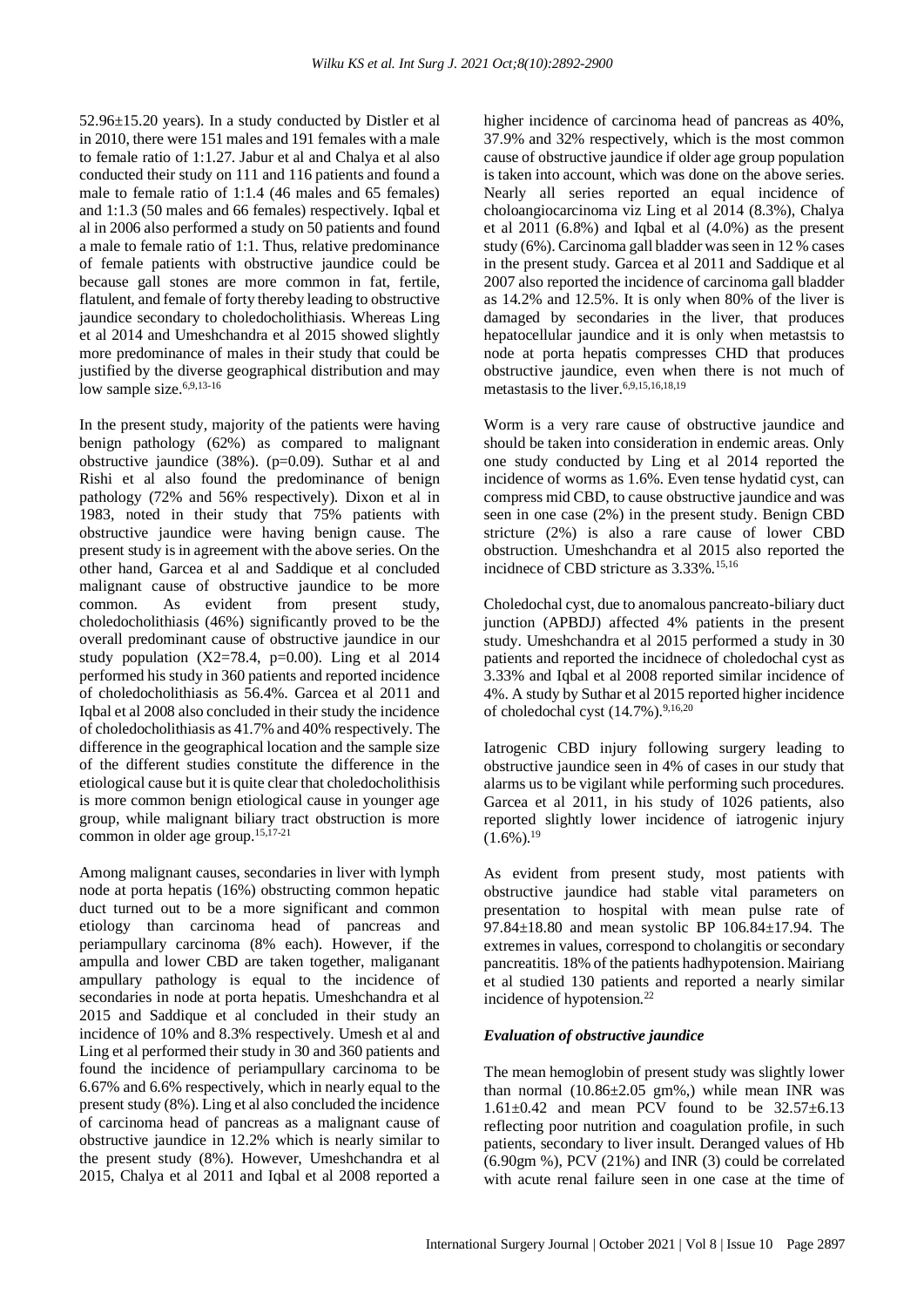52.96±15.20 years). In a study conducted by Distler et al in 2010, there were 151 males and 191 females with a male to female ratio of 1:1.27. Jabur et al and Chalya et al also conducted their study on 111 and 116 patients and found a male to female ratio of 1:1.4 (46 males and 65 females) and 1:1.3 (50 males and 66 females) respectively. Iqbal et al in 2006 also performed a study on 50 patients and found a male to female ratio of 1:1. Thus, relative predominance of female patients with obstructive jaundice could be because gall stones are more common in fat, fertile, flatulent, and female of forty thereby leading to obstructive jaundice secondary to choledocholithiasis. Whereas Ling et al 2014 and Umeshchandra et al 2015 showed slightly more predominance of males in their study that could be justified by the diverse geographical distribution and may low sample size.<sup>6,9,13-16</sup>

In the present study, majority of the patients were having benign pathology (62%) as compared to malignant obstructive jaundice (38%). (p=0.09). Suthar et al and Rishi et al also found the predominance of benign pathology (72% and 56% respectively). Dixon et al in 1983, noted in their study that 75% patients with obstructive jaundice were having benign cause. The present study is in agreement with the above series. On the other hand, Garcea et al and Saddique et al concluded malignant cause of obstructive jaundice to be more common. As evident from present study, choledocholithiasis (46%) significantly proved to be the overall predominant cause of obstructive jaundice in our study population  $(X2=78.4, p=0.00)$ . Ling et al 2014 performed his study in 360 patients and reported incidence of choledocholithiasis as 56.4%. Garcea et al 2011 and Iqbal et al 2008 also concluded in their study the incidence of choledocholithiasis as 41.7% and 40% respectively. The difference in the geographical location and the sample size of the different studies constitute the difference in the etiological cause but it is quite clear that choledocholithisis is more common benign etiological cause in younger age group, while malignant biliary tract obstruction is more common in older age group.15,17-21

Among malignant causes, secondaries in liver with lymph node at porta hepatis (16%) obstructing common hepatic duct turned out to be a more significant and common etiology than carcinoma head of pancreas and periampullary carcinoma (8% each). However, if the ampulla and lower CBD are taken together, maliganant ampullary pathology is equal to the incidence of secondaries in node at porta hepatis. Umeshchandra et al 2015 and Saddique et al concluded in their study an incidence of 10% and 8.3% respectively. Umesh et al and Ling et al performed their study in 30 and 360 patients and found the incidence of periampullary carcinoma to be 6.67% and 6.6% respectively, which in nearly equal to the present study (8%). Ling et al also concluded the incidence of carcinoma head of pancreas as a malignant cause of obstructive jaundice in 12.2% which is nearly similar to the present study (8%). However, Umeshchandra et al 2015, Chalya et al 2011 and Iqbal et al 2008 reported a higher incidence of carcinoma head of pancreas as 40%, 37.9% and 32% respectively, which is the most common cause of obstructive jaundice if older age group population is taken into account, which was done on the above series. Nearly all series reported an equal incidence of choloangiocarcinoma viz Ling et al 2014 (8.3%), Chalya et al 2011 (6.8%) and Iqbal et al (4.0%) as the present study (6%). Carcinoma gall bladder was seen in 12 % cases in the present study. Garcea et al 2011 and Saddique et al 2007 also reported the incidence of carcinoma gall bladder as 14.2% and 12.5%. It is only when 80% of the liver is damaged by secondaries in the liver, that produces hepatocellular jaundice and it is only when metastsis to node at porta hepatis compresses CHD that produces obstructive jaundice, even when there is not much of metastasis to the liver.6,9,15,16,18,19

Worm is a very rare cause of obstructive jaundice and should be taken into consideration in endemic areas. Only one study conducted by Ling et al 2014 reported the incidence of worms as 1.6%. Even tense hydatid cyst, can compress mid CBD, to cause obstructive jaundice and was seen in one case (2%) in the present study. Benign CBD stricture (2%) is also a rare cause of lower CBD obstruction. Umeshchandra et al 2015 also reported the incidnece of CBD stricture as  $3.33\%$ .<sup>15,16</sup>

Choledochal cyst, due to anomalous pancreato-biliary duct junction (APBDJ) affected 4% patients in the present study. Umeshchandra et al 2015 performed a study in 30 patients and reported the incidnece of choledochal cyst as 3.33% and Iqbal et al 2008 reported similar incidence of 4%. A study by Suthar et al 2015 reported higher incidence of choledochal cyst (14.7%).<sup>9,16,20</sup>

Iatrogenic CBD injury following surgery leading to obstructive jaundice seen in 4% of cases in our study that alarms us to be vigilant while performing such procedures. Garcea et al 2011, in his study of 1026 patients, also reported slightly lower incidence of iatrogenic injury  $(1.6\%)$ <sup>19</sup>

As evident from present study, most patients with obstructive jaundice had stable vital parameters on presentation to hospital with mean pulse rate of 97.84±18.80 and mean systolic BP 106.84±17.94. The extremes in values, correspond to cholangitis or secondary pancreatitis. 18% of the patients hadhypotension. Mairiang et al studied 130 patients and reported a nearly similar incidence of hypotension.<sup>22</sup>

#### *Evaluation of obstructive jaundice*

The mean hemoglobin of present study was slightly lower than normal (10.86±2.05 gm%,) while mean INR was 1.61 $\pm$ 0.42 and mean PCV found to be 32.57 $\pm$ 6.13 reflecting poor nutrition and coagulation profile, in such patients, secondary to liver insult. Deranged values of Hb (6.90gm %), PCV (21%) and INR (3) could be correlated with acute renal failure seen in one case at the time of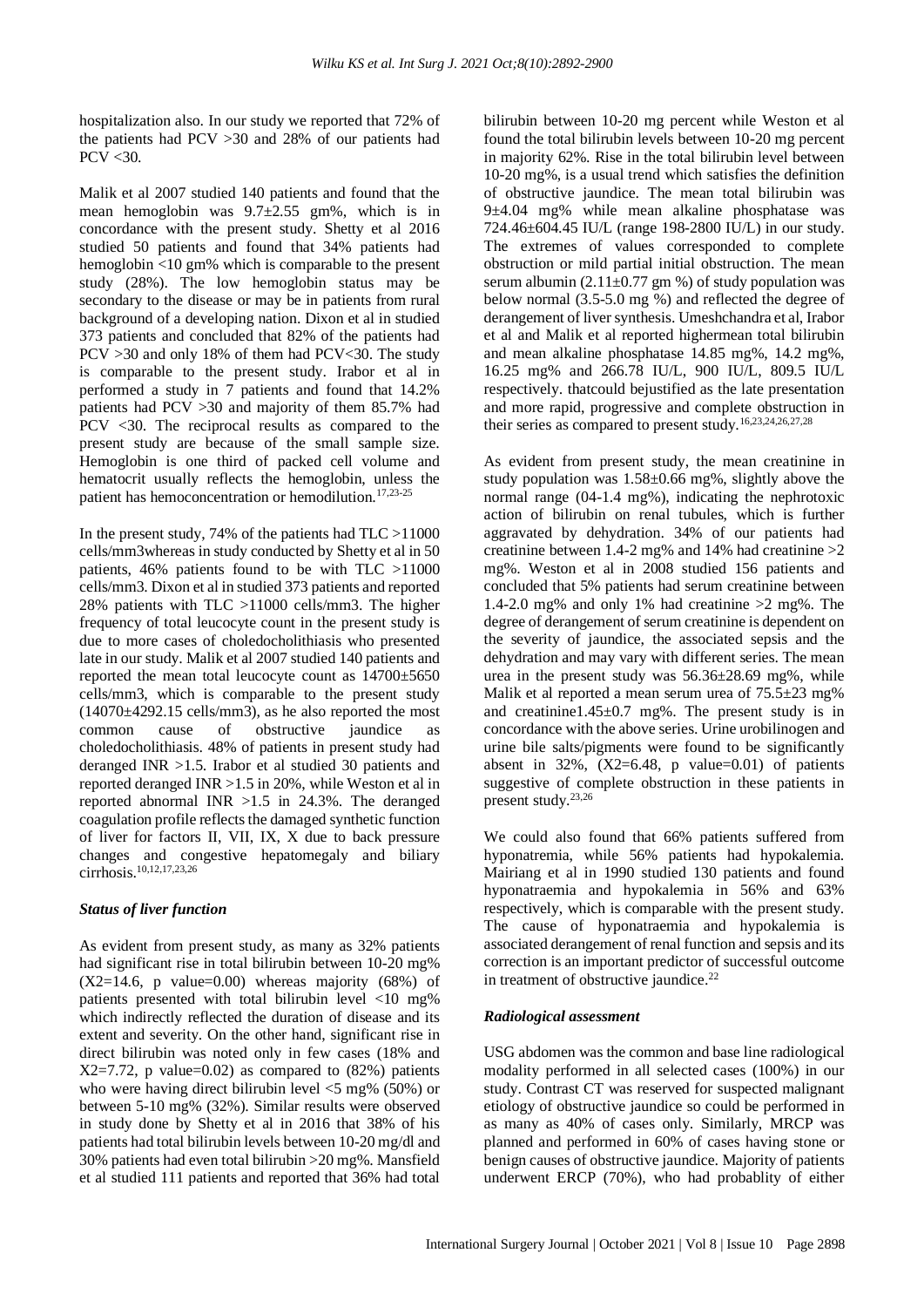hospitalization also. In our study we reported that 72% of the patients had PCV >30 and 28% of our patients had PCV <30.

Malik et al 2007 studied 140 patients and found that the mean hemoglobin was 9.7±2.55 gm%, which is in concordance with the present study. Shetty et al 2016 studied 50 patients and found that 34% patients had hemoglobin <10 gm% which is comparable to the present study (28%). The low hemoglobin status may be secondary to the disease or may be in patients from rural background of a developing nation. Dixon et al in studied 373 patients and concluded that 82% of the patients had PCV >30 and only 18% of them had PCV<30. The study is comparable to the present study. Irabor et al in performed a study in 7 patients and found that 14.2% patients had PCV >30 and majority of them 85.7% had PCV <30. The reciprocal results as compared to the present study are because of the small sample size. Hemoglobin is one third of packed cell volume and hematocrit usually reflects the hemoglobin, unless the patient has hemoconcentration or hemodilution.17,23-25

In the present study, 74% of the patients had TLC >11000 cells/mm3whereas in study conducted by Shetty et al in 50 patients, 46% patients found to be with TLC >11000 cells/mm3. Dixon et al in studied 373 patients and reported 28% patients with TLC >11000 cells/mm3. The higher frequency of total leucocyte count in the present study is due to more cases of choledocholithiasis who presented late in our study. Malik et al 2007 studied 140 patients and reported the mean total leucocyte count as 14700±5650 cells/mm3, which is comparable to the present study  $(14070 \pm 4292.15 \text{ cells/mm}^3)$ , as he also reported the most common cause of obstructive jaundice as choledocholithiasis. 48% of patients in present study had deranged INR >1.5. Irabor et al studied 30 patients and reported deranged INR >1.5 in 20%, while Weston et al in reported abnormal INR >1.5 in 24.3%. The deranged coagulation profile reflects the damaged synthetic function of liver for factors II, VII, IX, X due to back pressure changes and congestive hepatomegaly and biliary cirrhosis.10,12,17,23,26

#### *Status of liver function*

As evident from present study, as many as 32% patients had significant rise in total bilirubin between 10-20 mg%  $(X2=14.6, p$  value=0.00) whereas majority  $(68%)$  of patients presented with total bilirubin level <10 mg% which indirectly reflected the duration of disease and its extent and severity. On the other hand, significant rise in direct bilirubin was noted only in few cases (18% and  $X2=7.72$ , p value=0.02) as compared to  $(82%)$  patients who were having direct bilirubin level  $\langle 5 \rangle$  mg% (50%) or between 5-10 mg% (32%). Similar results were observed in study done by Shetty et al in 2016 that 38% of his patients had total bilirubin levels between 10-20 mg/dl and 30% patients had even total bilirubin >20 mg%. Mansfield et al studied 111 patients and reported that 36% had total bilirubin between 10-20 mg percent while Weston et al found the total bilirubin levels between 10-20 mg percent in majority 62%. Rise in the total bilirubin level between 10-20 mg%, is a usual trend which satisfies the definition of obstructive jaundice. The mean total bilirubin was 9±4.04 mg% while mean alkaline phosphatase was 724.46±604.45 IU/L (range 198-2800 IU/L) in our study. The extremes of values corresponded to complete obstruction or mild partial initial obstruction. The mean serum albumin  $(2.11\pm0.77 \text{ gm} \%)$  of study population was below normal (3.5-5.0 mg %) and reflected the degree of derangement of liver synthesis. Umeshchandra et al, Irabor et al and Malik et al reported highermean total bilirubin and mean alkaline phosphatase 14.85 mg%, 14.2 mg%, 16.25 mg% and 266.78 IU/L, 900 IU/L, 809.5 IU/L respectively. thatcould bejustified as the late presentation and more rapid, progressive and complete obstruction in their series as compared to present study.16,23,24,26,27,28

As evident from present study, the mean creatinine in study population was 1.58±0.66 mg%, slightly above the normal range (04-1.4 mg%), indicating the nephrotoxic action of bilirubin on renal tubules, which is further aggravated by dehydration. 34% of our patients had creatinine between 1.4-2 mg% and 14% had creatinine >2 mg%. Weston et al in 2008 studied 156 patients and concluded that 5% patients had serum creatinine between 1.4-2.0 mg% and only 1% had creatinine  $>2$  mg%. The degree of derangement of serum creatinine is dependent on the severity of jaundice, the associated sepsis and the dehydration and may vary with different series. The mean urea in the present study was 56.36±28.69 mg%, while Malik et al reported a mean serum urea of 75.5±23 mg% and creatinine1.45 $\pm$ 0.7 mg%. The present study is in concordance with the above series. Urine urobilinogen and urine bile salts/pigments were found to be significantly absent in  $32\%$ ,  $(X2=6.48, p \text{ value}=0.01)$  of patients suggestive of complete obstruction in these patients in present study.23,26

We could also found that 66% patients suffered from hyponatremia, while 56% patients had hypokalemia. Mairiang et al in 1990 studied 130 patients and found hyponatraemia and hypokalemia in 56% and 63% respectively, which is comparable with the present study. The cause of hyponatraemia and hypokalemia is associated derangement of renal function and sepsis and its correction is an important predictor of successful outcome in treatment of obstructive jaundice.<sup>22</sup>

#### *Radiological assessment*

USG abdomen was the common and base line radiological modality performed in all selected cases (100%) in our study. Contrast CT was reserved for suspected malignant etiology of obstructive jaundice so could be performed in as many as 40% of cases only. Similarly, MRCP was planned and performed in 60% of cases having stone or benign causes of obstructive jaundice. Majority of patients underwent ERCP (70%), who had probablity of either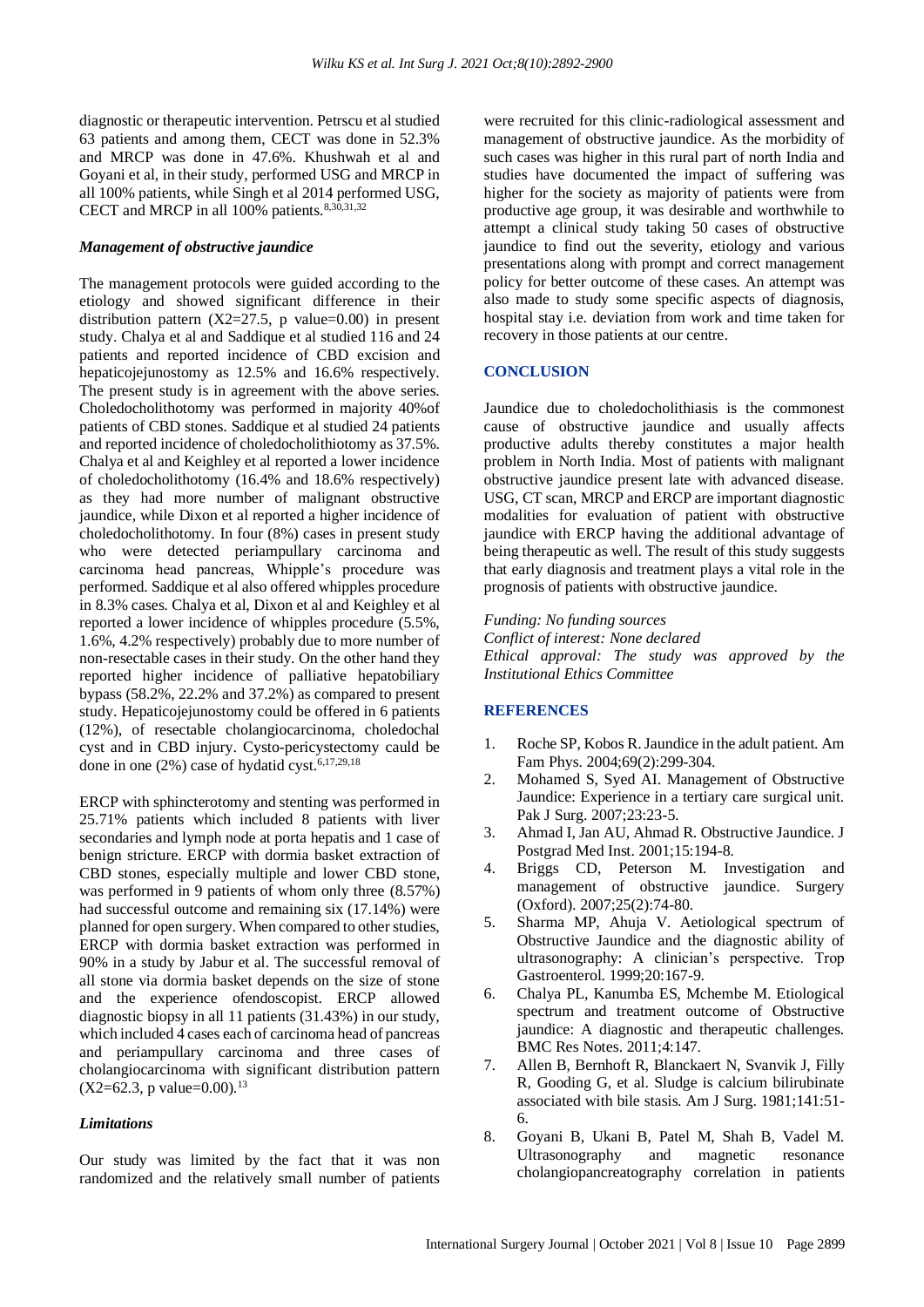diagnostic or therapeutic intervention. Petrscu et al studied 63 patients and among them, CECT was done in 52.3% and MRCP was done in 47.6%. Khushwah et al and Goyani et al, in their study, performed USG and MRCP in all 100% patients, while Singh et al 2014 performed USG, CECT and MRCP in all  $100\%$  patients.<sup>8,30,31,32</sup>

#### *Management of obstructive jaundice*

The management protocols were guided according to the etiology and showed significant difference in their distribution pattern  $(X2=27.5, p \text{ value}=0.00)$  in present study. Chalya et al and Saddique et al studied 116 and 24 patients and reported incidence of CBD excision and hepaticojejunostomy as 12.5% and 16.6% respectively. The present study is in agreement with the above series. Choledocholithotomy was performed in majority 40%of patients of CBD stones. Saddique et al studied 24 patients and reported incidence of choledocholithiotomy as 37.5%. Chalya et al and Keighley et al reported a lower incidence of choledocholithotomy (16.4% and 18.6% respectively) as they had more number of malignant obstructive jaundice, while Dixon et al reported a higher incidence of choledocholithotomy. In four (8%) cases in present study who were detected periampullary carcinoma and carcinoma head pancreas, Whipple's procedure was performed. Saddique et al also offered whipples procedure in 8.3% cases. Chalya et al, Dixon et al and Keighley et al reported a lower incidence of whipples procedure (5.5%, 1.6%, 4.2% respectively) probably due to more number of non-resectable cases in their study. On the other hand they reported higher incidence of palliative hepatobiliary bypass (58.2%, 22.2% and 37.2%) as compared to present study. Hepaticojejunostomy could be offered in 6 patients (12%), of resectable cholangiocarcinoma, choledochal cyst and in CBD injury. Cysto-pericystectomy cauld be done in one (2%) case of hydatid cyst.<sup>6,17,29,18</sup>

ERCP with sphincterotomy and stenting was performed in 25.71% patients which included 8 patients with liver secondaries and lymph node at porta hepatis and 1 case of benign stricture. ERCP with dormia basket extraction of CBD stones, especially multiple and lower CBD stone, was performed in 9 patients of whom only three (8.57%) had successful outcome and remaining six (17.14%) were planned for open surgery. When compared to other studies, ERCP with dormia basket extraction was performed in 90% in a study by Jabur et al. The successful removal of all stone via dormia basket depends on the size of stone and the experience ofendoscopist. ERCP allowed diagnostic biopsy in all 11 patients (31.43%) in our study, which included 4 cases each of carcinoma head of pancreas and periampullary carcinoma and three cases of cholangiocarcinoma with significant distribution pattern  $(X2=62.3, p \text{ value}=0.00).$ <sup>13</sup>

#### *Limitations*

Our study was limited by the fact that it was non randomized and the relatively small number of patients were recruited for this clinic-radiological assessment and management of obstructive jaundice. As the morbidity of such cases was higher in this rural part of north India and studies have documented the impact of suffering was higher for the society as majority of patients were from productive age group, it was desirable and worthwhile to attempt a clinical study taking 50 cases of obstructive jaundice to find out the severity, etiology and various presentations along with prompt and correct management policy for better outcome of these cases. An attempt was also made to study some specific aspects of diagnosis, hospital stay i.e. deviation from work and time taken for recovery in those patients at our centre.

#### **CONCLUSION**

Jaundice due to choledocholithiasis is the commonest cause of obstructive jaundice and usually affects productive adults thereby constitutes a major health problem in North India. Most of patients with malignant obstructive jaundice present late with advanced disease. USG, CT scan, MRCP and ERCP are important diagnostic modalities for evaluation of patient with obstructive jaundice with ERCP having the additional advantage of being therapeutic as well. The result of this study suggests that early diagnosis and treatment plays a vital role in the prognosis of patients with obstructive jaundice.

#### *Funding: No funding sources*

*Conflict of interest: None declared Ethical approval: The study was approved by the Institutional Ethics Committee*

#### **REFERENCES**

- 1. Roche SP, Kobos R. Jaundice in the adult patient. Am Fam Phys. 2004;69(2):299-304.
- 2. Mohamed S, Syed AI. Management of Obstructive Jaundice: Experience in a tertiary care surgical unit. Pak J Surg. 2007;23:23-5.
- 3. Ahmad I, Jan AU, Ahmad R. Obstructive Jaundice. J Postgrad Med Inst. 2001;15:194-8.
- 4. Briggs CD, Peterson M. Investigation and management of obstructive jaundice. Surgery (Oxford). 2007;25(2):74-80.
- 5. Sharma MP, Ahuja V. Aetiological spectrum of Obstructive Jaundice and the diagnostic ability of ultrasonography: A clinician's perspective. Trop Gastroenterol. 1999;20:167-9.
- 6. Chalya PL, Kanumba ES, Mchembe M. Etiological spectrum and treatment outcome of Obstructive jaundice: A diagnostic and therapeutic challenges. BMC Res Notes. 2011;4:147.
- 7. Allen B, Bernhoft R, Blanckaert N, Svanvik J, Filly R, Gooding G, et al. Sludge is calcium bilirubinate associated with bile stasis. Am J Surg. 1981;141:51- 6.
- 8. Goyani B, Ukani B, Patel M, Shah B, Vadel M. Ultrasonography and magnetic resonance cholangiopancreatography correlation in patients